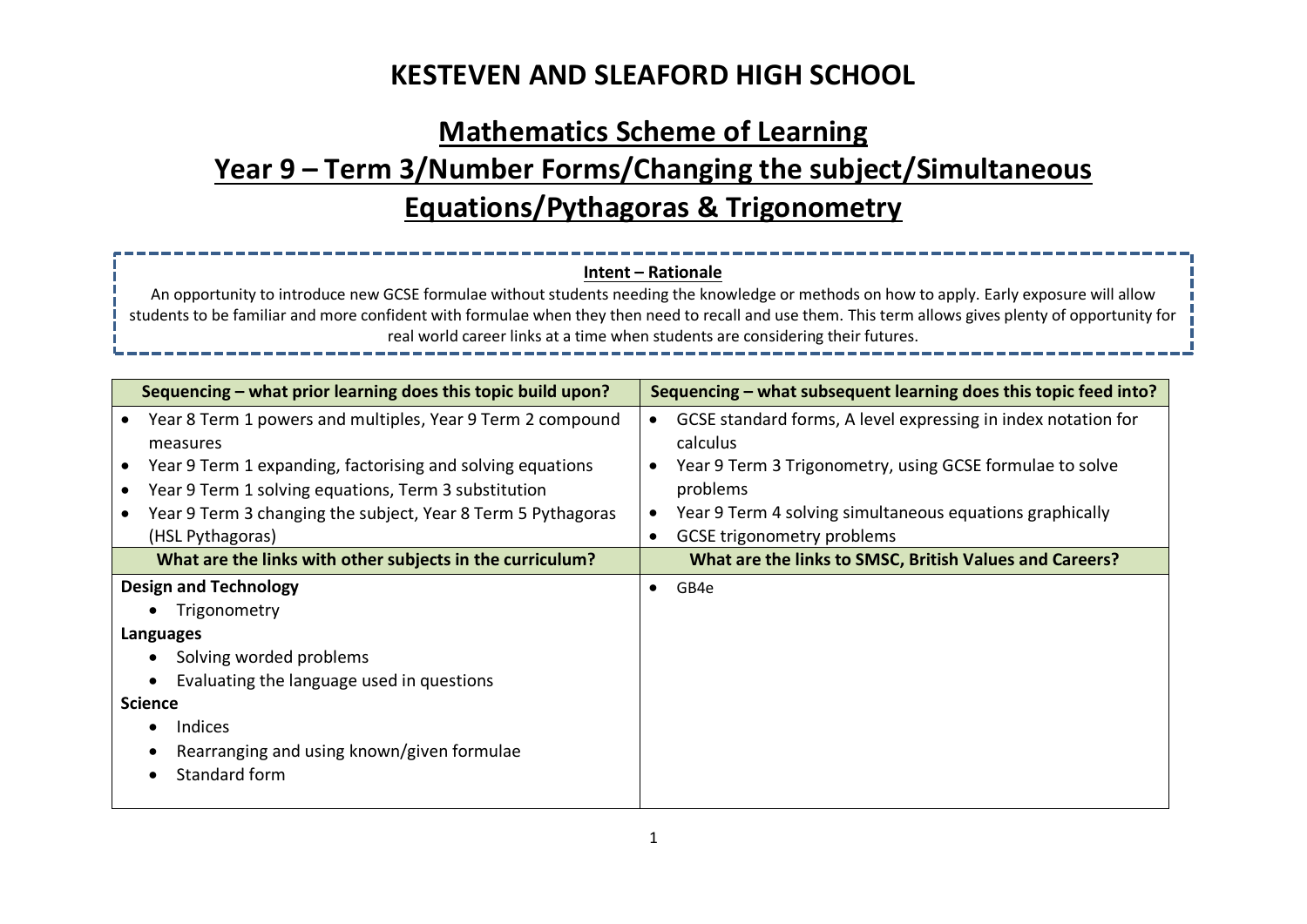# **Mathematics Scheme of Learning Year 9 – Term 3/Number Forms/Changing the subject/Simultaneous Equations/Pythagoras & Trigonometry**

### **Intent – Rationale**

An opportunity to introduce new GCSE formulae without students needing the knowledge or methods on how to apply. Early exposure will allow students to be familiar and more confident with formulae when they then need to recall and use them. This term allows gives plenty of opportunity for real world career links at a time when students are considering their futures.

| Sequencing - what prior learning does this topic build upon?                                                                                                                                                                                                                     | Sequencing – what subsequent learning does this topic feed into?                                                                                                                                                                                                             |  |  |  |
|----------------------------------------------------------------------------------------------------------------------------------------------------------------------------------------------------------------------------------------------------------------------------------|------------------------------------------------------------------------------------------------------------------------------------------------------------------------------------------------------------------------------------------------------------------------------|--|--|--|
| Year 8 Term 1 powers and multiples, Year 9 Term 2 compound<br>measures<br>Year 9 Term 1 expanding, factorising and solving equations<br>Year 9 Term 1 solving equations, Term 3 substitution<br>Year 9 Term 3 changing the subject, Year 8 Term 5 Pythagoras<br>(HSL Pythagoras) | GCSE standard forms, A level expressing in index notation for<br>$\bullet$<br>calculus<br>Year 9 Term 3 Trigonometry, using GCSE formulae to solve<br>problems<br>Year 9 Term 4 solving simultaneous equations graphically<br><b>GCSE trigonometry problems</b><br>$\bullet$ |  |  |  |
| What are the links with other subjects in the curriculum?                                                                                                                                                                                                                        | What are the links to SMSC, British Values and Careers?                                                                                                                                                                                                                      |  |  |  |
| <b>Design and Technology</b><br>Trigonometry<br>Languages<br>Solving worded problems<br>Evaluating the language used in questions<br><b>Science</b><br><b>Indices</b><br>Rearranging and using known/given formulae<br>Standard form                                             | GB4e                                                                                                                                                                                                                                                                         |  |  |  |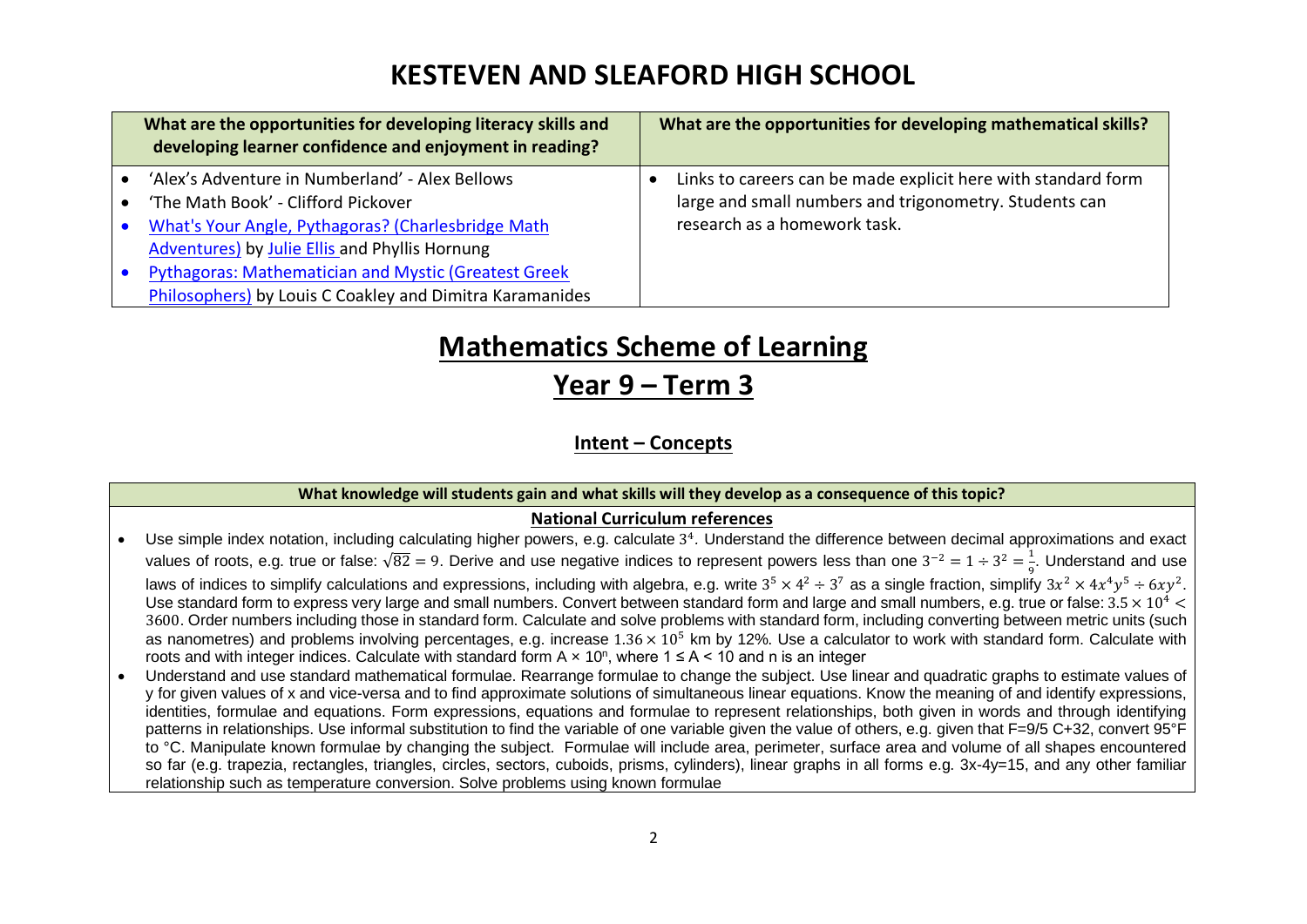|           | What are the opportunities for developing literacy skills and<br>developing learner confidence and enjoyment in reading? | What are the opportunities for developing mathematical skills? |
|-----------|--------------------------------------------------------------------------------------------------------------------------|----------------------------------------------------------------|
|           | 'Alex's Adventure in Numberland' - Alex Bellows                                                                          | Links to careers can be made explicit here with standard form  |
|           | 'The Math Book' - Clifford Pickover                                                                                      | large and small numbers and trigonometry. Students can         |
| $\bullet$ | What's Your Angle, Pythagoras? (Charlesbridge Math                                                                       | research as a homework task.                                   |
|           | Adventures) by Julie Ellis and Phyllis Hornung                                                                           |                                                                |
|           | <b>Pythagoras: Mathematician and Mystic (Greatest Greek</b>                                                              |                                                                |
|           | Philosophers) by Louis C Coakley and Dimitra Karamanides                                                                 |                                                                |

# **Mathematics Scheme of Learning**

**Year 9 – Term 3**

**Intent – Concepts**

#### **What knowledge will students gain and what skills will they develop as a consequence of this topic?**

### **National Curriculum references**

- Use simple index notation, including calculating higher powers, e.g. calculate 3<sup>4</sup>. Understand the difference between decimal approximations and exact values of roots, e.g. true or false:  $\sqrt{82} = 9$ . Derive and use negative indices to represent powers less than one  $3^{-2} = 1 \div 3^2 = \frac{1}{6}$ . Understand and use laws of indices to simplify calculations and expressions, including with algebra, e.g. write  $3^5 \times 4^2 \div 3^7$  as a single fraction, simplify  $3x^2 \times 4x^4y^5 \div 6xy^2$ . Use standard form to express very large and small numbers. Convert between standard form and large and small numbers, e.g. true or false:  $3.5 \times 10^4$  < 3600. Order numbers including those in standard form. Calculate and solve problems with standard form, including converting between metric units (such as nanometres) and problems involving percentages, e.g. increase  $1.36 \times 10^5$  km by 12%. Use a calculator to work with standard form. Calculate with roots and with integer indices. Calculate with standard form A  $\times$  10<sup>n</sup>, where 1  $\leq$  A < 10 and n is an integer
- Understand and use standard mathematical formulae. Rearrange formulae to change the subject. Use linear and quadratic graphs to estimate values of y for given values of x and vice-versa and to find approximate solutions of simultaneous linear equations. Know the meaning of and identify expressions, identities, formulae and equations. Form expressions, equations and formulae to represent relationships, both given in words and through identifying patterns in relationships. Use informal substitution to find the variable of one variable given the value of others, e.g. given that F=9/5 C+32, convert 95°F to °C. Manipulate known formulae by changing the subject. Formulae will include area, perimeter, surface area and volume of all shapes encountered so far (e.g. trapezia, rectangles, triangles, circles, sectors, cuboids, prisms, cylinders), linear graphs in all forms e.g. 3x-4y=15, and any other familiar relationship such as temperature conversion. Solve problems using known formulae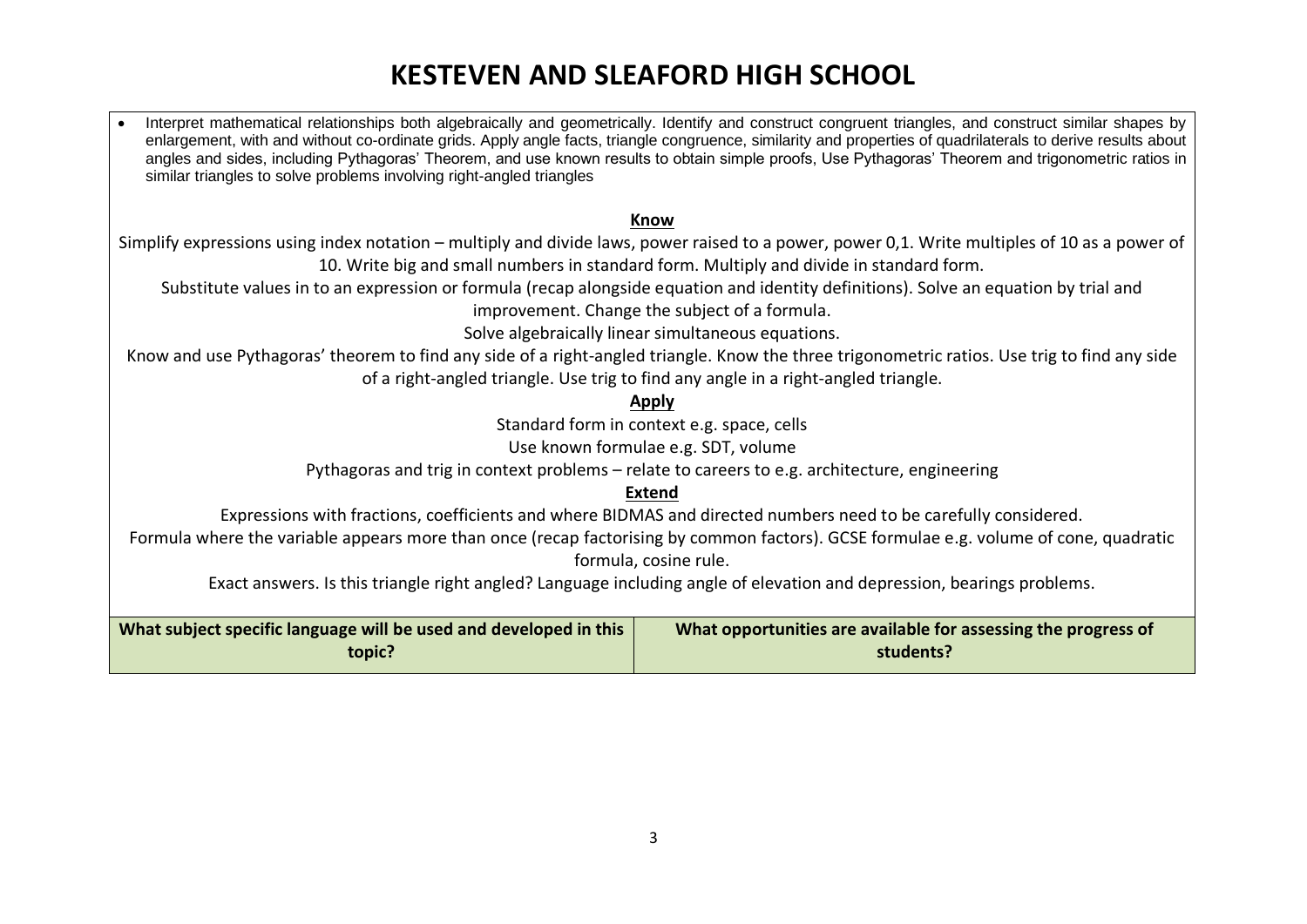• Interpret mathematical relationships both algebraically and geometrically. Identify and construct congruent triangles, and construct similar shapes by enlargement, with and without co-ordinate grids. Apply angle facts, triangle congruence, similarity and properties of quadrilaterals to derive results about angles and sides, including Pythagoras' Theorem, and use known results to obtain simple proofs, Use Pythagoras' Theorem and trigonometric ratios in similar triangles to solve problems involving right-angled triangles

#### **Know**

Simplify expressions using index notation – multiply and divide laws, power raised to a power, power 0,1. Write multiples of 10 as a power of 10. Write big and small numbers in standard form. Multiply and divide in standard form.

Substitute values in to an expression or formula (recap alongside equation and identity definitions). Solve an equation by trial and improvement. Change the subject of a formula.

Solve algebraically linear simultaneous equations.

Know and use Pythagoras' theorem to find any side of a right-angled triangle. Know the three trigonometric ratios. Use trig to find any side of a right-angled triangle. Use trig to find any angle in a right-angled triangle.

#### **Apply**

Standard form in context e.g. space, cells

Use known formulae e.g. SDT, volume

Pythagoras and trig in context problems – relate to careers to e.g. architecture, engineering

### **Extend**

Expressions with fractions, coefficients and where BIDMAS and directed numbers need to be carefully considered.

Formula where the variable appears more than once (recap factorising by common factors). GCSE formulae e.g. volume of cone, quadratic formula, cosine rule.

Exact answers. Is this triangle right angled? Language including angle of elevation and depression, bearings problems.

| What subject specific language will be used and developed in this | What opportunities are available for assessing the progress of |  |
|-------------------------------------------------------------------|----------------------------------------------------------------|--|
| topic?                                                            | students?                                                      |  |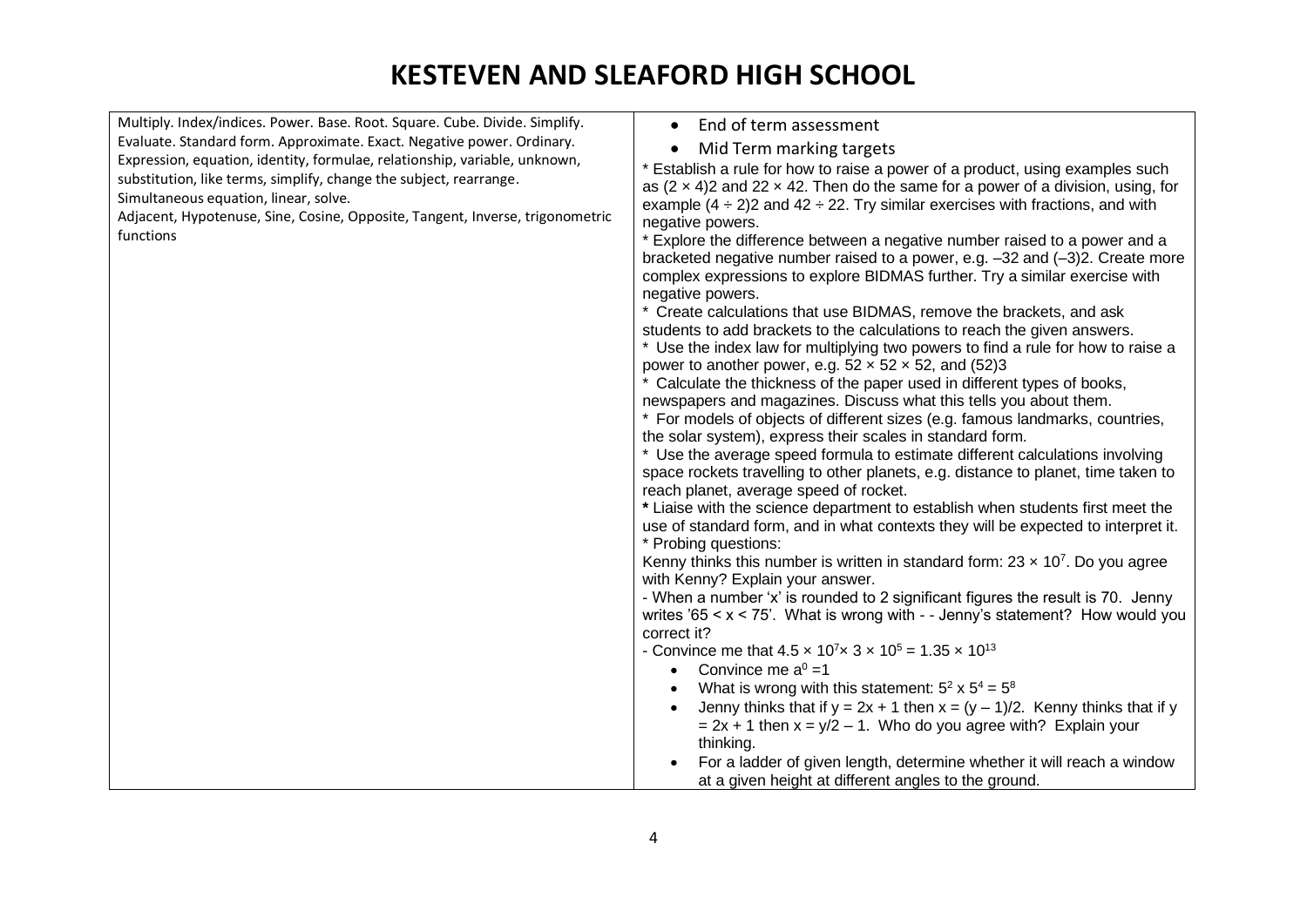| Multiply. Index/indices. Power. Base. Root. Square. Cube. Divide. Simplify.   | End of term assessment<br>$\bullet$                                                                                                           |
|-------------------------------------------------------------------------------|-----------------------------------------------------------------------------------------------------------------------------------------------|
| Evaluate. Standard form. Approximate. Exact. Negative power. Ordinary.        | Mid Term marking targets                                                                                                                      |
| Expression, equation, identity, formulae, relationship, variable, unknown,    | * Establish a rule for how to raise a power of a product, using examples such                                                                 |
| substitution, like terms, simplify, change the subject, rearrange.            | as $(2 \times 4)$ 2 and 22 x 42. Then do the same for a power of a division, using, for                                                       |
| Simultaneous equation, linear, solve.                                         | example $(4 \div 2)$ 2 and $42 \div 22$ . Try similar exercises with fractions, and with                                                      |
| Adjacent, Hypotenuse, Sine, Cosine, Opposite, Tangent, Inverse, trigonometric | negative powers.                                                                                                                              |
| functions                                                                     | * Explore the difference between a negative number raised to a power and a                                                                    |
|                                                                               | bracketed negative number raised to a power, e.g. $-32$ and $(-3)2$ . Create more                                                             |
|                                                                               | complex expressions to explore BIDMAS further. Try a similar exercise with                                                                    |
|                                                                               | negative powers.                                                                                                                              |
|                                                                               | * Create calculations that use BIDMAS, remove the brackets, and ask                                                                           |
|                                                                               | students to add brackets to the calculations to reach the given answers.                                                                      |
|                                                                               | * Use the index law for multiplying two powers to find a rule for how to raise a                                                              |
|                                                                               | power to another power, e.g. $52 \times 52 \times 52$ , and (52)3<br>* Calculate the thickness of the paper used in different types of books, |
|                                                                               | newspapers and magazines. Discuss what this tells you about them.                                                                             |
|                                                                               | * For models of objects of different sizes (e.g. famous landmarks, countries,                                                                 |
|                                                                               | the solar system), express their scales in standard form.                                                                                     |
|                                                                               | * Use the average speed formula to estimate different calculations involving                                                                  |
|                                                                               | space rockets travelling to other planets, e.g. distance to planet, time taken to                                                             |
|                                                                               | reach planet, average speed of rocket.                                                                                                        |
|                                                                               | * Liaise with the science department to establish when students first meet the                                                                |
|                                                                               | use of standard form, and in what contexts they will be expected to interpret it.                                                             |
|                                                                               | * Probing questions:                                                                                                                          |
|                                                                               | Kenny thinks this number is written in standard form: $23 \times 10^7$ . Do you agree<br>with Kenny? Explain your answer.                     |
|                                                                               | - When a number 'x' is rounded to 2 significant figures the result is 70. Jenny                                                               |
|                                                                               | writes '65 $\lt x \lt 75$ '. What is wrong with - - Jenny's statement? How would you                                                          |
|                                                                               | correct it?                                                                                                                                   |
|                                                                               | - Convince me that $4.5 \times 10^7 \times 3 \times 10^5 = 1.35 \times 10^{13}$                                                               |
|                                                                               | • Convince me $a^0 = 1$                                                                                                                       |
|                                                                               | What is wrong with this statement: $5^2 \times 5^4 = 5^8$<br>$\bullet$                                                                        |
|                                                                               | Jenny thinks that if $y = 2x + 1$ then $x = (y - 1)/2$ . Kenny thinks that if y                                                               |
|                                                                               | $= 2x + 1$ then $x = y/2 - 1$ . Who do you agree with? Explain your                                                                           |
|                                                                               | thinking.                                                                                                                                     |
|                                                                               | For a ladder of given length, determine whether it will reach a window                                                                        |
|                                                                               | at a given height at different angles to the ground.                                                                                          |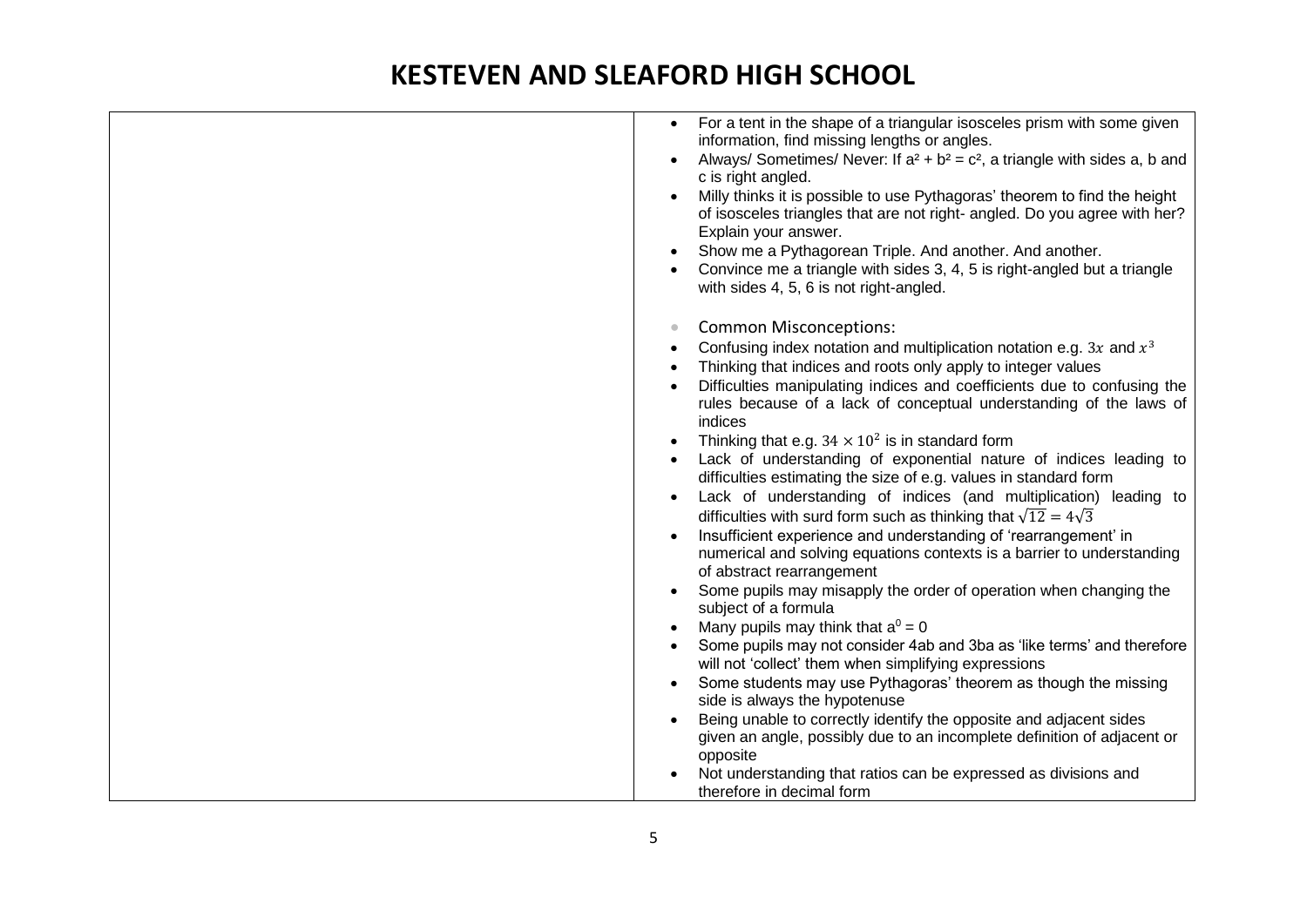| For a tent in the shape of a triangular isosceles prism with some given<br>$\bullet$<br>information, find missing lengths or angles. |
|--------------------------------------------------------------------------------------------------------------------------------------|
| Always/ Sometimes/ Never: If $a^2 + b^2 = c^2$ , a triangle with sides a, b and<br>$\bullet$                                         |
| c is right angled.                                                                                                                   |
| Milly thinks it is possible to use Pythagoras' theorem to find the height                                                            |
| of isosceles triangles that are not right- angled. Do you agree with her?                                                            |
| Explain your answer.                                                                                                                 |
| Show me a Pythagorean Triple. And another. And another.<br>$\bullet$                                                                 |
| Convince me a triangle with sides 3, 4, 5 is right-angled but a triangle<br>with sides 4, 5, 6 is not right-angled.                  |
| <b>Common Misconceptions:</b><br>$\bullet$                                                                                           |
| Confusing index notation and multiplication notation e.g. 3x and $x^3$<br>$\bullet$                                                  |
| Thinking that indices and roots only apply to integer values                                                                         |
| Difficulties manipulating indices and coefficients due to confusing the                                                              |
| rules because of a lack of conceptual understanding of the laws of                                                                   |
| indices                                                                                                                              |
| Thinking that e.g. $34 \times 10^2$ is in standard form                                                                              |
| Lack of understanding of exponential nature of indices leading to                                                                    |
| difficulties estimating the size of e.g. values in standard form                                                                     |
| Lack of understanding of indices (and multiplication) leading to                                                                     |
| difficulties with surd form such as thinking that $\sqrt{12} = 4\sqrt{3}$                                                            |
| Insufficient experience and understanding of 'rearrangement' in<br>$\bullet$                                                         |
| numerical and solving equations contexts is a barrier to understanding<br>of abstract rearrangement                                  |
| Some pupils may misapply the order of operation when changing the                                                                    |
| subject of a formula                                                                                                                 |
| Many pupils may think that $a^0 = 0$<br>$\bullet$                                                                                    |
| Some pupils may not consider 4ab and 3ba as 'like terms' and therefore<br>will not 'collect' them when simplifying expressions       |
| Some students may use Pythagoras' theorem as though the missing<br>$\bullet$                                                         |
| side is always the hypotenuse                                                                                                        |
| Being unable to correctly identify the opposite and adjacent sides                                                                   |
| given an angle, possibly due to an incomplete definition of adjacent or<br>opposite                                                  |
| Not understanding that ratios can be expressed as divisions and                                                                      |
| therefore in decimal form                                                                                                            |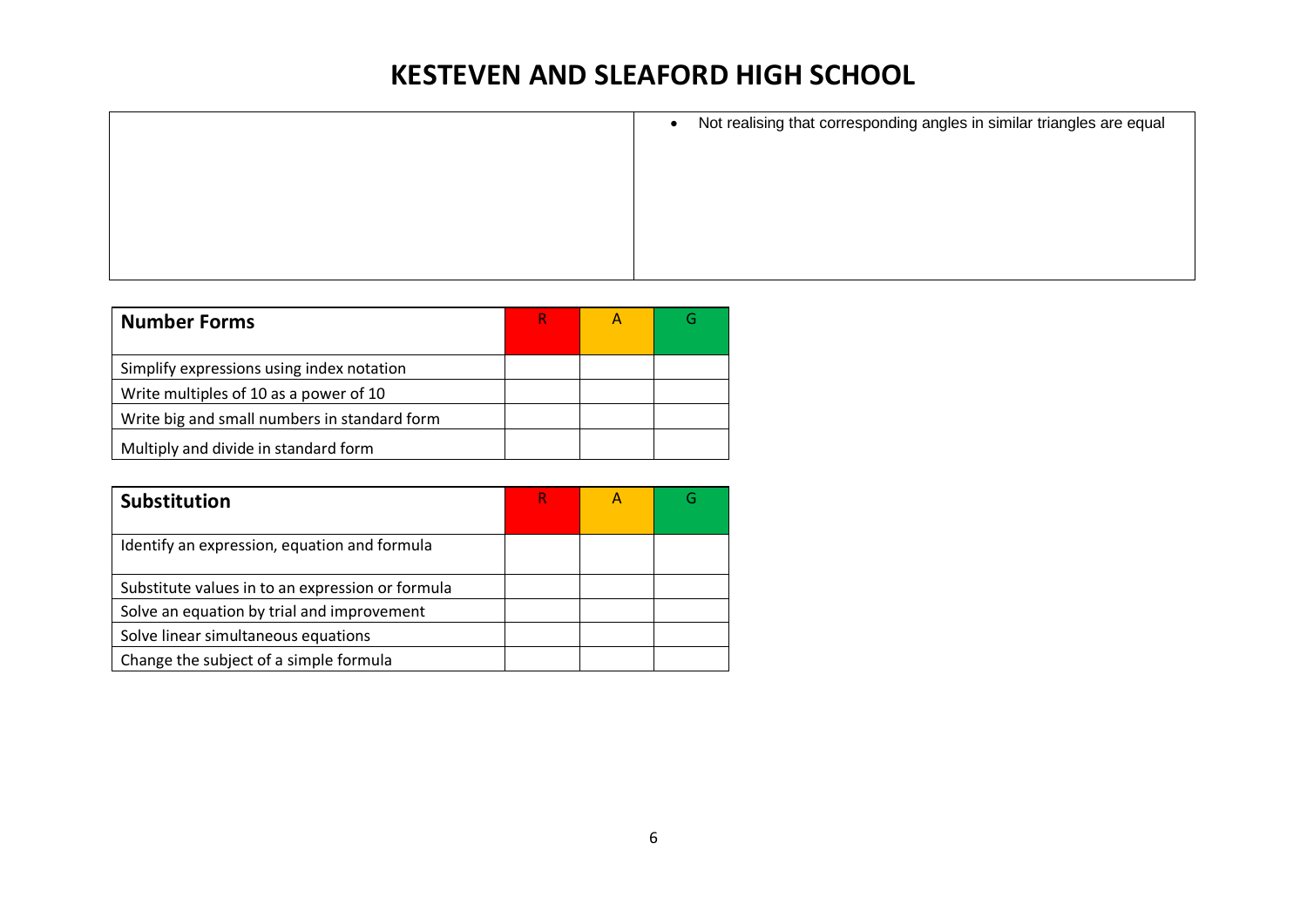| • Not realising that corresponding angles in similar triangles are equal |
|--------------------------------------------------------------------------|
|                                                                          |
|                                                                          |
|                                                                          |
|                                                                          |
|                                                                          |

| <b>Number Forms</b>                          |  |  |
|----------------------------------------------|--|--|
| Simplify expressions using index notation    |  |  |
| Write multiples of 10 as a power of 10       |  |  |
| Write big and small numbers in standard form |  |  |
| Multiply and divide in standard form         |  |  |

| <b>Substitution</b>                              |  |  |
|--------------------------------------------------|--|--|
| Identify an expression, equation and formula     |  |  |
| Substitute values in to an expression or formula |  |  |
| Solve an equation by trial and improvement       |  |  |
| Solve linear simultaneous equations              |  |  |
| Change the subject of a simple formula           |  |  |